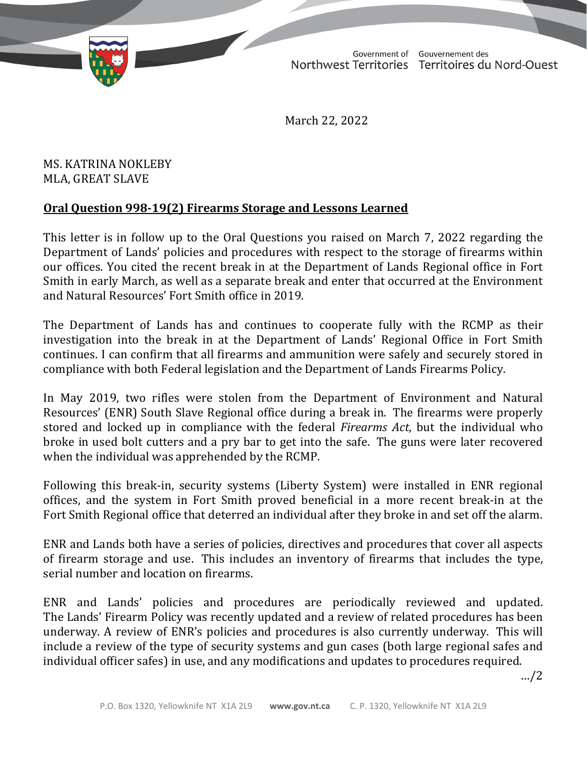TD 611-19(2) TABLED ON MARCH 28, 2022

Government of Gouvernement des Northwest Territories Territoires du Nord-Ouest

March 22, 2022

MS. KATRINA NOKLEBY MLA, GREAT SLAVE

## **Oral Question 998-19(2) Firearms Storage and Lessons Learned**

This letter is in follow up to the Oral Questions you raised on March 7, 2022 regarding the Department of Lands' policies and procedures with respect to the storage of firearms within our offices. You cited the recent break in at the Department of Lands Regional office in Fort Smith in early March, as well as a separate break and enter that occurred at the Environment and Natural Resources' Fort Smith office in 2019.

The Department of Lands has and continues to cooperate fully with the RCMP as their investigation into the break in at the Department of Lands' Regional Office in Fort Smith continues. I can confirm that all firearms and ammunition were safely and securely stored in compliance with both Federal legislation and the Department of Lands Firearms Policy.

In May 2019, two rifles were stolen from the Department of Environment and Natural Resources' (ENR) South Slave Regional office during a break in. The firearms were properly stored and locked up in compliance with the federal *Firearms Act*, but the individual who broke in used bolt cutters and a pry bar to get into the safe. The guns were later recovered when the individual was apprehended by the RCMP.

Following this break-in, security systems (Liberty System) were installed in ENR regional offices, and the system in Fort Smith proved beneficial in a more recent break-in at the Fort Smith Regional office that deterred an individual after they broke in and set off the alarm.

ENR and Lands both have a series of policies, directives and procedures that cover all aspects of firearm storage and use. This includes an inventory of firearms that includes the type, serial number and location on firearms.

ENR and Lands' policies and procedures are periodically reviewed and updated. The Lands' Firearm Policy was recently updated and a review of related procedures has been underway. A review of ENR's policies and procedures is also currently underway. This will include a review of the type of security systems and gun cases (both large regional safes and individual officer safes) in use, and any modifications and updates to procedures required.

…/2